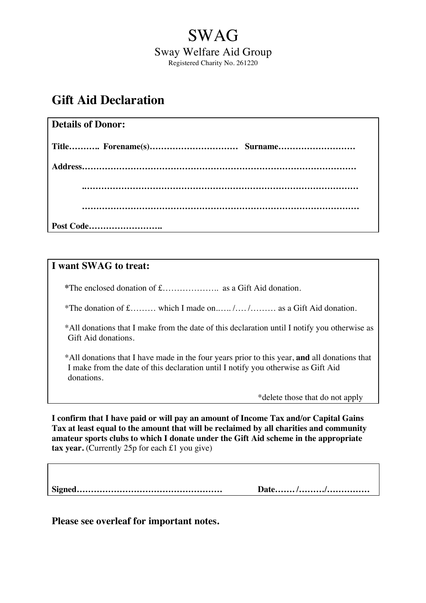## SWAG Sway Welfare Aid Group Registered Charity No. 261220

## **Gift Aid Declaration**

| <b>Details of Donor:</b> |  |
|--------------------------|--|
|                          |  |
|                          |  |
|                          |  |
|                          |  |
| Post Code                |  |

## **I want SWAG to treat:**

**\***The enclosed donation of £……………….. as a Gift Aid donation.

\*The donation of £……… which I made on.….. /…. /……… as a Gift Aid donation.

\*All donations that I make from the date of this declaration until I notify you otherwise as Gift Aid donations.

\*All donations that I have made in the four years prior to this year, **and** all donations that I make from the date of this declaration until I notify you otherwise as Gift Aid donations.

\*delete those that do not apply

**I confirm that I have paid or will pay an amount of Income Tax and/or Capital Gains Tax at least equal to the amount that will be reclaimed by all charities and community amateur sports clubs to which I donate under the Gift Aid scheme in the appropriate tax year.** (Currently 25p for each £1 you give)

**Signed…………………………………………… Date……. /………/……………**

**Please see overleaf for important notes.**